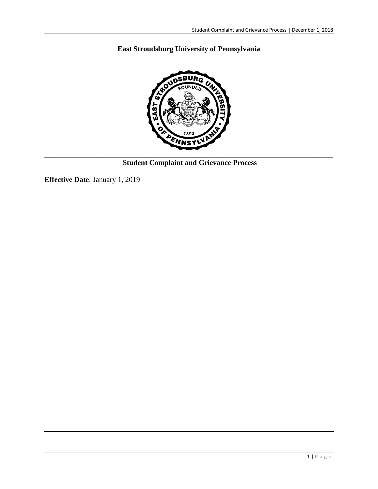# **East Stroudsburg University of Pennsylvania**



**Student Complaint and Grievance Process**

**Effective Date**: January 1, 2019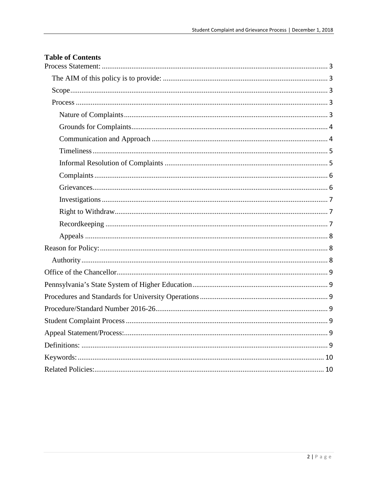| <b>Table of Contents</b> |
|--------------------------|
|                          |
|                          |
|                          |
|                          |
|                          |
|                          |
|                          |
|                          |
|                          |
|                          |
|                          |
|                          |
|                          |
|                          |
|                          |
|                          |
|                          |
|                          |
|                          |
|                          |
|                          |
|                          |
|                          |
|                          |
|                          |
|                          |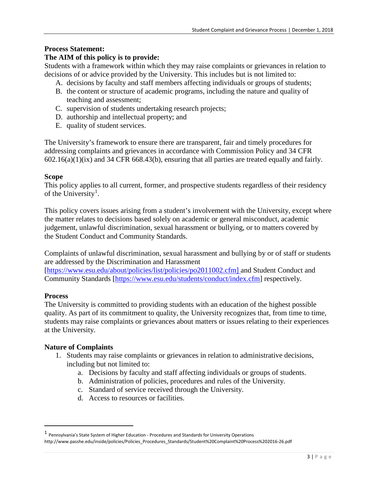## <span id="page-2-0"></span>**Process Statement:**

## <span id="page-2-1"></span>**The AIM of this policy is to provide:**

Students with a framework within which they may raise complaints or grievances in relation to decisions of or advice provided by the University. This includes but is not limited to:

- A. decisions by faculty and staff members affecting individuals or groups of students;
- B. the content or structure of academic programs, including the nature and quality of teaching and assessment;
- C. supervision of students undertaking research projects;
- D. authorship and intellectual property; and
- E. quality of student services.

The University's framework to ensure there are transparent, fair and timely procedures for addressing complaints and grievances in accordance with Commission Policy and 34 CFR  $602.16(a)(1)(ix)$  and 34 CFR 668.43(b), ensuring that all parties are treated equally and fairly.

#### <span id="page-2-2"></span>**Scope**

This policy applies to all current, former, and prospective students regardless of their residency of the University<sup>[1](#page-2-5)</sup>.

This policy covers issues arising from a student's involvement with the University, except where the matter relates to decisions based solely on academic or general misconduct, academic judgement, unlawful discrimination, sexual harassment or bullying, or to matters covered by the Student Conduct and Community Standards.

Complaints of unlawful discrimination, sexual harassment and bullying by or of staff or students are addressed by the Discrimination and Harassment

[\[https://www.esu.edu/about/policies/list/policies/po2011002.cfm\]](https://www.esu.edu/about/policies/list/policies/po2011002.cfm%5d%C2%A0) and Student Conduct and Community Standards [\[https://www.esu.edu/students/conduct/index.cfm\]](https://www.esu.edu/students/conduct/index.cfm) respectively.

#### <span id="page-2-3"></span>**Process**

The University is committed to providing students with an education of the highest possible quality. As part of its commitment to quality, the University recognizes that, from time to time, students may raise complaints or grievances about matters or issues relating to their experiences at the University.

#### <span id="page-2-4"></span>**Nature of Complaints**

- 1. Students may raise complaints or grievances in relation to administrative decisions, including but not limited to:
	- a. Decisions by faculty and staff affecting individuals or groups of students.
	- b. Administration of policies, procedures and rules of the University.
	- c. Standard of service received through the University.
	- d. Access to resources or facilities.

<span id="page-2-5"></span> <sup>1</sup> Pennsylvania's State System of Higher Education - Procedures and Standards for University Operations http://www.passhe.edu/inside/policies/Policies\_Procedures\_Standards/Student%20Complaint%20Process%202016-26.pdf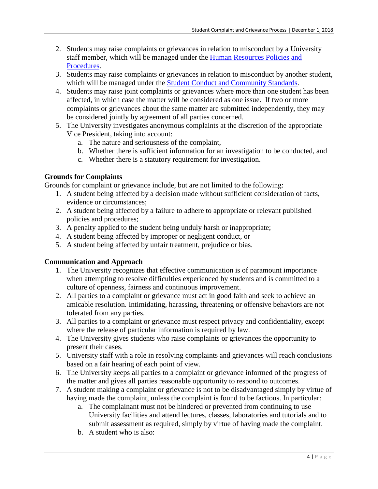- 2. Students may raise complaints or grievances in relation to misconduct by a University staff member, which will be managed under the Human Resources Policies and [Procedures.](https://www.esu.edu/about/offices/human_resources/policy_procedures.cfm)
- 3. Students may raise complaints or grievances in relation to misconduct by another student, which will be managed under the [Student Conduct and Community Standards.](https://www.esu.edu/students/conduct/index.cfm)
- 4. Students may raise joint complaints or grievances where more than one student has been affected, in which case the matter will be considered as one issue. If two or more complaints or grievances about the same matter are submitted independently, they may be considered jointly by agreement of all parties concerned.
- 5. The University investigates anonymous complaints at the discretion of the appropriate Vice President, taking into account:
	- a. The nature and seriousness of the complaint,
	- b. Whether there is sufficient information for an investigation to be conducted, and
	- c. Whether there is a statutory requirement for investigation.

# <span id="page-3-0"></span>**Grounds for Complaints**

Grounds for complaint or grievance include, but are not limited to the following:

- 1. A student being affected by a decision made without sufficient consideration of facts, evidence or circumstances;
- 2. A student being affected by a failure to adhere to appropriate or relevant published policies and procedures;
- 3. A penalty applied to the student being unduly harsh or inappropriate;
- 4. A student being affected by improper or negligent conduct, or
- 5. A student being affected by unfair treatment, prejudice or bias.

## <span id="page-3-1"></span>**Communication and Approach**

- 1. The University recognizes that effective communication is of paramount importance when attempting to resolve difficulties experienced by students and is committed to a culture of openness, fairness and continuous improvement.
- 2. All parties to a complaint or grievance must act in good faith and seek to achieve an amicable resolution. Intimidating, harassing, threatening or offensive behaviors are not tolerated from any parties.
- 3. All parties to a complaint or grievance must respect privacy and confidentiality, except where the release of particular information is required by law.
- 4. The University gives students who raise complaints or grievances the opportunity to present their cases.
- 5. University staff with a role in resolving complaints and grievances will reach conclusions based on a fair hearing of each point of view.
- 6. The University keeps all parties to a complaint or grievance informed of the progress of the matter and gives all parties reasonable opportunity to respond to outcomes.
- 7. A student making a complaint or grievance is not to be disadvantaged simply by virtue of having made the complaint, unless the complaint is found to be factious. In particular:
	- a. The complainant must not be hindered or prevented from continuing to use University facilities and attend lectures, classes, laboratories and tutorials and to submit assessment as required, simply by virtue of having made the complaint.
	- b. A student who is also: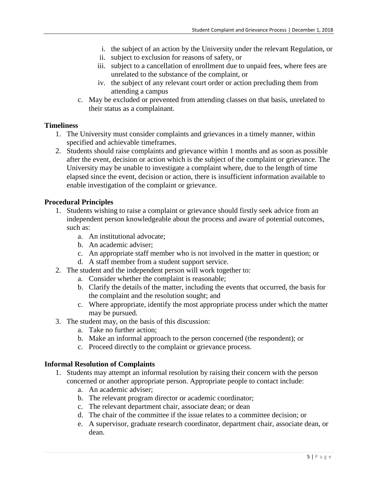- i. the subject of an action by the University under the relevant Regulation, or
- ii. subject to exclusion for reasons of safety, or
- iii. subject to a cancellation of enrollment due to unpaid fees, where fees are unrelated to the substance of the complaint, or
- iv. the subject of any relevant court order or action precluding them from attending a campus
- c. May be excluded or prevented from attending classes on that basis, unrelated to their status as a complainant.

# <span id="page-4-0"></span>**Timeliness**

- 1. The University must consider complaints and grievances in a timely manner, within specified and achievable timeframes.
- 2. Students should raise complaints and grievance within 1 months and as soon as possible after the event, decision or action which is the subject of the complaint or grievance. The University may be unable to investigate a complaint where, due to the length of time elapsed since the event, decision or action, there is insufficient information available to enable investigation of the complaint or grievance.

# **Procedural Principles**

- 1. Students wishing to raise a complaint or grievance should firstly seek advice from an independent person knowledgeable about the process and aware of potential outcomes, such as:
	- a. An institutional advocate;
	- b. An academic adviser;
	- c. An appropriate staff member who is not involved in the matter in question; or
	- d. A staff member from a student support service.
- 2. The student and the independent person will work together to:
	- a. Consider whether the complaint is reasonable;
	- b. Clarify the details of the matter, including the events that occurred, the basis for the complaint and the resolution sought; and
	- c. Where appropriate, identify the most appropriate process under which the matter may be pursued.
- 3. The student may, on the basis of this discussion:
	- a. Take no further action;
	- b. Make an informal approach to the person concerned (the respondent); or
	- c. Proceed directly to the complaint or grievance process.

# <span id="page-4-1"></span>**Informal Resolution of Complaints**

- 1. Students may attempt an informal resolution by raising their concern with the person concerned or another appropriate person. Appropriate people to contact include:
	- a. An academic adviser;
	- b. The relevant program director or academic coordinator;
	- c. The relevant department chair, associate dean; or dean
	- d. The chair of the committee if the issue relates to a committee decision; or
	- e. A supervisor, graduate research coordinator, department chair, associate dean, or dean.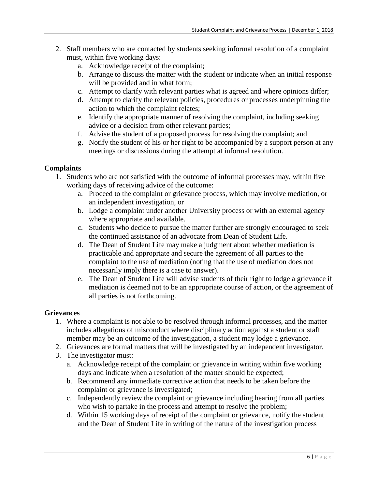- 2. Staff members who are contacted by students seeking informal resolution of a complaint must, within five working days:
	- a. Acknowledge receipt of the complaint;
	- b. Arrange to discuss the matter with the student or indicate when an initial response will be provided and in what form;
	- c. Attempt to clarify with relevant parties what is agreed and where opinions differ;
	- d. Attempt to clarify the relevant policies, procedures or processes underpinning the action to which the complaint relates;
	- e. Identify the appropriate manner of resolving the complaint, including seeking advice or a decision from other relevant parties;
	- f. Advise the student of a proposed process for resolving the complaint; and
	- g. Notify the student of his or her right to be accompanied by a support person at any meetings or discussions during the attempt at informal resolution.

## <span id="page-5-0"></span>**Complaints**

- 1. Students who are not satisfied with the outcome of informal processes may, within five working days of receiving advice of the outcome:
	- a. Proceed to the complaint or grievance process, which may involve mediation, or an independent investigation, or
	- b. Lodge a complaint under another University process or with an external agency where appropriate and available.
	- c. Students who decide to pursue the matter further are strongly encouraged to seek the continued assistance of an advocate from Dean of Student Life.
	- d. The Dean of Student Life may make a judgment about whether mediation is practicable and appropriate and secure the agreement of all parties to the complaint to the use of mediation (noting that the use of mediation does not necessarily imply there is a case to answer).
	- e. The Dean of Student Life will advise students of their right to lodge a grievance if mediation is deemed not to be an appropriate course of action, or the agreement of all parties is not forthcoming.

## <span id="page-5-1"></span>**Grievances**

- 1. Where a complaint is not able to be resolved through informal processes, and the matter includes allegations of misconduct where disciplinary action against a student or staff member may be an outcome of the investigation, a student may lodge a grievance.
- 2. Grievances are formal matters that will be investigated by an independent investigator.
- 3. The investigator must:
	- a. Acknowledge receipt of the complaint or grievance in writing within five working days and indicate when a resolution of the matter should be expected;
	- b. Recommend any immediate corrective action that needs to be taken before the complaint or grievance is investigated;
	- c. Independently review the complaint or grievance including hearing from all parties who wish to partake in the process and attempt to resolve the problem;
	- d. Within 15 working days of receipt of the complaint or grievance, notify the student and the Dean of Student Life in writing of the nature of the investigation process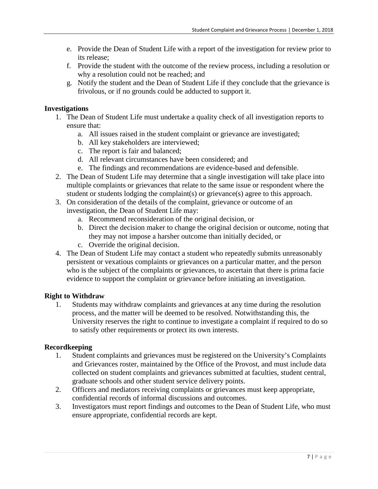- e. Provide the Dean of Student Life with a report of the investigation for review prior to its release;
- f. Provide the student with the outcome of the review process, including a resolution or why a resolution could not be reached; and
- g. Notify the student and the Dean of Student Life if they conclude that the grievance is frivolous, or if no grounds could be adducted to support it.

# <span id="page-6-0"></span>**Investigations**

- 1. The Dean of Student Life must undertake a quality check of all investigation reports to ensure that:
	- a. All issues raised in the student complaint or grievance are investigated;
	- b. All key stakeholders are interviewed;
	- c. The report is fair and balanced;
	- d. All relevant circumstances have been considered; and
	- e. The findings and recommendations are evidence-based and defensible.
- 2. The Dean of Student Life may determine that a single investigation will take place into multiple complaints or grievances that relate to the same issue or respondent where the student or students lodging the complaint(s) or grievance(s) agree to this approach.
- 3. On consideration of the details of the complaint, grievance or outcome of an investigation, the Dean of Student Life may:
	- a. Recommend reconsideration of the original decision, or
	- b. Direct the decision maker to change the original decision or outcome, noting that they may not impose a harsher outcome than initially decided, or
	- c. Override the original decision.
- 4. The Dean of Student Life may contact a student who repeatedly submits unreasonably persistent or vexatious complaints or grievances on a particular matter, and the person who is the subject of the complaints or grievances, to ascertain that there is prima facie evidence to support the complaint or grievance before initiating an investigation.

## <span id="page-6-1"></span>**Right to Withdraw**

1. Students may withdraw complaints and grievances at any time during the resolution process, and the matter will be deemed to be resolved. Notwithstanding this, the University reserves the right to continue to investigate a complaint if required to do so to satisfy other requirements or protect its own interests.

## <span id="page-6-2"></span>**Recordkeeping**

- 1. Student complaints and grievances must be registered on the University's Complaints and Grievances roster, maintained by the Office of the Provost, and must include data collected on student complaints and grievances submitted at faculties, student central, graduate schools and other student service delivery points.
- 2. Officers and mediators receiving complaints or grievances must keep appropriate, confidential records of informal discussions and outcomes.
- 3. Investigators must report findings and outcomes to the Dean of Student Life, who must ensure appropriate, confidential records are kept.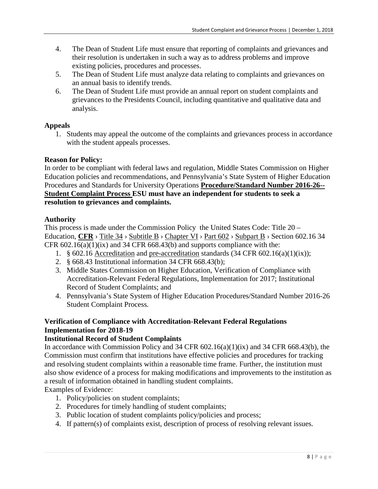- 4. The Dean of Student Life must ensure that reporting of complaints and grievances and their resolution is undertaken in such a way as to address problems and improve existing policies, procedures and processes.
- 5. The Dean of Student Life must analyze data relating to complaints and grievances on an annual basis to identify trends.
- 6. The Dean of Student Life must provide an annual report on student complaints and grievances to the Presidents Council, including quantitative and qualitative data and analysis.

#### <span id="page-7-0"></span>**Appeals**

1. Students may appeal the outcome of the complaints and grievances process in accordance with the student appeals processes.

#### <span id="page-7-1"></span>**Reason for Policy:**

In order to be compliant with federal laws and regulation, Middle States Commission on Higher Education policies and recommendations, and Pennsylvania's State System of Higher Education Procedures and Standards for University Operations **[Procedure/Standard Number 2016-26-](http://www.passhe.edu/inside/policies/Policies_Procedures_Standards/Student%20Complaint%20Process%202016-26.pdf)- [Student Complaint Process](http://www.passhe.edu/inside/policies/Policies_Procedures_Standards/Student%20Complaint%20Process%202016-26.pdf) ESU must have an independent for students to seek a resolution to grievances and complaints.** 

#### <span id="page-7-2"></span>**Authority**

This process is made under the Commission Policy the United States Code: Title 20 – Education, [CFR](https://www.law.cornell.edu/cfr/text) > [Title 34](https://www.law.cornell.edu/cfr/text/34) > [Subtitle B](https://www.law.cornell.edu/cfr/text/34/subtitle-B) > [Chapter VI](https://www.law.cornell.edu/cfr/text/34/subtitle-B/chapter-IV) > [Part 602](https://www.law.cornell.edu/cfr/text/34/part-602) > [Subpart B](https://www.law.cornell.edu/cfr/text/34/part-602/subpart-B) > Section 602.16 34 CFR  $602.16(a)(1)(ix)$  and 34 CFR  $668.43(b)$  and supports compliance with the:

- 1. § 602.16 [Accreditation](https://www.law.cornell.edu/definitions/index.php?width=840&height=800&iframe=true&def_id=c33f7fd771b92b904bdcd7a0e06185d3&term_occur=1&term_src=Title:34:Subtitle:B:Chapter:VI:Part:602:Subpart:B:Subjgrp:33:602.16) and [pre-accreditation](https://www.law.cornell.edu/definitions/index.php?width=840&height=800&iframe=true&def_id=aefdaa1031d371074c1695a27a92e39b&term_occur=1&term_src=Title:34:Subtitle:B:Chapter:VI:Part:602:Subpart:B:Subjgrp:33:602.16) standards (34 CFR 602.16(a)(1)(ix));
- 2. § 668.43 Institutional information 34 CFR 668.43(b);
- 3. Middle States Commission on Higher Education, Verification of Compliance with Accreditation-Relevant Federal Regulations, Implementation for 2017; Institutional Record of Student Complaints; and
- 4. Pennsylvania's State System of Higher Education Procedures/Standard Number 2016-26 Student Complaint Process*.*

# **Verification of Compliance with Accreditation-Relevant Federal Regulations Implementation for 2018-19**

## **Institutional Record of Student Complaints**

In accordance with Commission Policy and 34 CFR 602.16(a)(1)(ix) and 34 CFR 668.43(b), the Commission must confirm that institutions have effective policies and procedures for tracking and resolving student complaints within a reasonable time frame. Further, the institution must also show evidence of a process for making modifications and improvements to the institution as a result of information obtained in handling student complaints.

Examples of Evidence:

- 1. Policy/policies on student complaints;
- 2. Procedures for timely handling of student complaints;
- 3. Public location of student complaints policy/policies and process;
- 4. If pattern(s) of complaints exist, description of process of resolving relevant issues.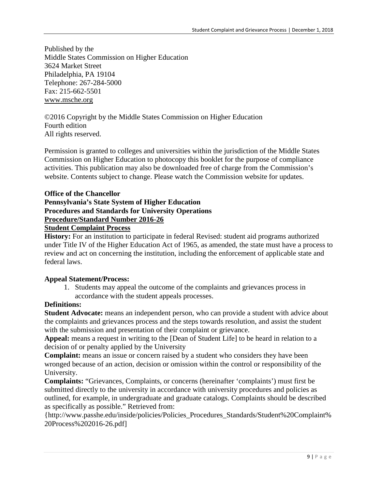Published by the Middle States Commission on Higher Education 3624 Market Street Philadelphia, PA 19104 Telephone: 267-284-5000 Fax: 215-662-5501 [www.msche.org](http://www.msche.org/)

©2016 Copyright by the Middle States Commission on Higher Education Fourth edition All rights reserved.

Permission is granted to colleges and universities within the jurisdiction of the Middle States Commission on Higher Education to photocopy this booklet for the purpose of compliance activities. This publication may also be downloaded free of charge from the Commission's website. Contents subject to change. Please watch the Commission website for updates.

# <span id="page-8-2"></span><span id="page-8-1"></span><span id="page-8-0"></span>**Office of the Chancellor Pennsylvania's State System of Higher Education Procedures and Standards for University Operations [Procedure/Standard Number 2016-26](http://www.passhe.edu/inside/policies/Policies_Procedures_Standards/Student%20Complaint%20Process%202016-26.pdf)**

## <span id="page-8-4"></span><span id="page-8-3"></span>**[Student Complaint Process](http://www.passhe.edu/inside/policies/Policies_Procedures_Standards/Student%20Complaint%20Process%202016-26.pdf)**

**History:** For an institution to participate in federal Revised: student aid programs authorized under Title IV of the Higher Education Act of 1965, as amended, the state must have a process to review and act on concerning the institution, including the enforcement of applicable state and federal laws.

## <span id="page-8-5"></span>**Appeal Statement/Process:**

1. Students may appeal the outcome of the complaints and grievances process in accordance with the student appeals processes.

# <span id="page-8-6"></span>**Definitions:**

**Student Advocate:** means an independent person, who can provide a student with advice about the complaints and grievances process and the steps towards resolution, and assist the student with the submission and presentation of their complaint or grievance.

**Appeal:** means a request in writing to the [Dean of Student Life] to be heard in relation to a decision of or penalty applied by the University

**Complaint:** means an issue or concern raised by a student who considers they have been wronged because of an action, decision or omission within the control or responsibility of the University.

**Complaints:** "Grievances, Complaints, or concerns (hereinafter 'complaints') must first be submitted directly to the university in accordance with university procedures and policies as outlined, for example, in undergraduate and graduate catalogs. Complaints should be described as specifically as possible." Retrieved from:

{http://www.passhe.edu/inside/policies/Policies\_Procedures\_Standards/Student%20Complaint% 20Process%202016-26.pdf]